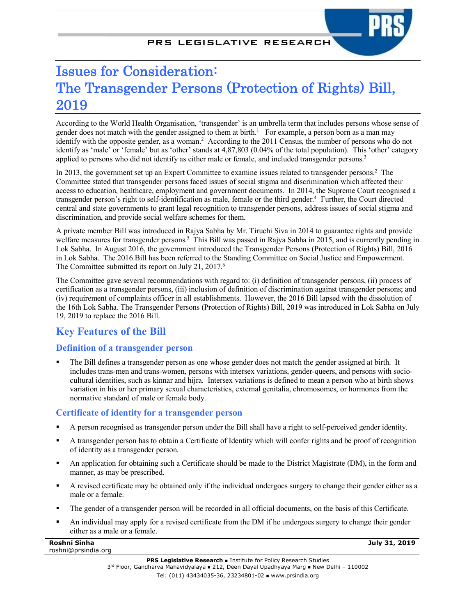# Issues for Consideration: The Transgender Persons (Protection of Rights) Bill, 2019

According to the World Health Organisation, 'transgender' is an umbrella term that includes persons whose sense of gender does not match with the gender assigned to them at birth.<sup>1</sup> For example, a person born as a man may identify with the opposite gender, as a woman.<sup>2</sup> According to the 2011 Census, the number of persons who do not identify as 'male' or 'female' but as 'other' stands at 4,87,803 (0.04% of the total population). This 'other' category applied to persons who did not identify as either male or female, and included transgender persons.3

In 2013, the government set up an Expert Committee to examine issues related to transgender persons.<sup>2</sup> The Committee stated that transgender persons faced issues of social stigma and discrimination which affected their access to education, healthcare, employment and government documents. In 2014, the Supreme Court recognised a transgender person's right to self-identification as male, female or the third gender.<sup>4</sup> Further, the Court directed central and state governments to grant legal recognition to transgender persons, address issues of social stigma and discrimination, and provide social welfare schemes for them.

A private member Bill was introduced in Rajya Sabha by Mr. Tiruchi Siva in 2014 to guarantee rights and provide welfare measures for transgender persons.<sup>5</sup> This Bill was passed in Rajya Sabha in 2015, and is currently pending in Lok Sabha. In August 2016, the government introduced the Transgender Persons (Protection of Rights) Bill, 2016 in Lok Sabha. The 2016 Bill has been referred to the Standing Committee on Social Justice and Empowerment. The Committee submitted its report on July 21, 2017.<sup>6</sup>

The Committee gave several recommendations with regard to: (i) definition of transgender persons, (ii) process of certification as a transgender persons, (iii) inclusion of definition of discrimination against transgender persons; and (iv) requirement of complaints officer in all establishments. However, the 2016 Bill lapsed with the dissolution of the 16th Lok Sabha. The Transgender Persons (Protection of Rights) Bill, 2019 was introduced in Lok Sabha on July 19, 2019 to replace the 2016 Bill.

# **Key Features of the Bill**

# **Definition of a transgender person**

The Bill defines a transgender person as one whose gender does not match the gender assigned at birth. It includes trans-men and trans-women, persons with intersex variations, gender-queers, and persons with sociocultural identities, such as kinnar and hijra. Intersex variations is defined to mean a person who at birth shows variation in his or her primary sexual characteristics, external genitalia, chromosomes, or hormones from the normative standard of male or female body.

# **Certificate of identity for a transgender person**

- § A person recognised as transgender person under the Bill shall have a right to self-perceived gender identity.
- § A transgender person has to obtain a Certificate of Identity which will confer rights and be proof of recognition of identity as a transgender person.
- § An application for obtaining such a Certificate should be made to the District Magistrate (DM), in the form and manner, as may be prescribed.
- § A revised certificate may be obtained only if the individual undergoes surgery to change their gender either as a male or a female.
- The gender of a transgender person will be recorded in all official documents, on the basis of this Certificate.
- § An individual may apply for a revised certificate from the DM if he undergoes surgery to change their gender either as a male or a female.

| Roshni Sinha        |  |
|---------------------|--|
| roshni@prsindia.org |  |

**July 31, 2019**

**PRS Legislative Research .** Institute for Policy Research Studies  $3<sup>rd</sup>$  Floor, Gandharva Mahavidyalaya = 212, Deen Dayal Upadhyaya Marg = New Delhi – 110002 Tel: (011) 43434035-36, 23234801-02 www.prsindia.org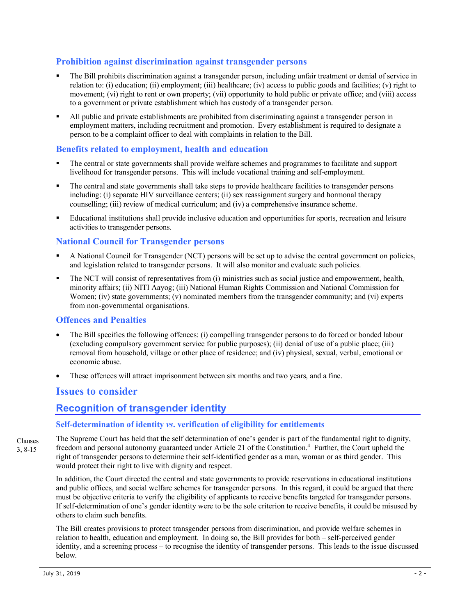## **Prohibition against discrimination against transgender persons**

- The Bill prohibits discrimination against a transgender person, including unfair treatment or denial of service in relation to: (i) education; (ii) employment; (iii) healthcare; (iv) access to public goods and facilities; (v) right to movement; (vi) right to rent or own property; (vii) opportunity to hold public or private office; and (viii) access to a government or private establishment which has custody of a transgender person.
- § All public and private establishments are prohibited from discriminating against a transgender person in employment matters, including recruitment and promotion. Every establishment is required to designate a person to be a complaint officer to deal with complaints in relation to the Bill.

### **Benefits related to employment, health and education**

- The central or state governments shall provide welfare schemes and programmes to facilitate and support livelihood for transgender persons. This will include vocational training and self-employment.
- The central and state governments shall take steps to provide healthcare facilities to transgender persons including: (i) separate HIV surveillance centers; (ii) sex reassignment surgery and hormonal therapy counselling; (iii) review of medical curriculum; and (iv) a comprehensive insurance scheme.
- Educational institutions shall provide inclusive education and opportunities for sports, recreation and leisure activities to transgender persons.

## **National Council for Transgender persons**

- § A National Council for Transgender (NCT) persons will be set up to advise the central government on policies, and legislation related to transgender persons. It will also monitor and evaluate such policies.
- The NCT will consist of representatives from (i) ministries such as social justice and empowerment, health, minority affairs; (ii) NITI Aayog; (iii) National Human Rights Commission and National Commission for Women; (iv) state governments; (v) nominated members from the transgender community; and (vi) experts from non-governmental organisations.

#### **Offences and Penalties**

- The Bill specifies the following offences: (i) compelling transgender persons to do forced or bonded labour (excluding compulsory government service for public purposes); (ii) denial of use of a public place; (iii) removal from household, village or other place of residence; and (iv) physical, sexual, verbal, emotional or economic abuse.
- These offences will attract imprisonment between six months and two years, and a fine.

# **Issues to consider**

# **Recognition of transgender identity**

#### **Self-determination of identity** *vs***. verification of eligibility for entitlements**

The Supreme Court has held that the self determination of one's gender is part of the fundamental right to dignity, freedom and personal autonomy guaranteed under Article 21 of the Constitution. 4 Further, the Court upheld the right of transgender persons to determine their self-identified gender as a man, woman or as third gender. This would protect their right to live with dignity and respect. Clauses 3, 8-15

In addition, the Court directed the central and state governments to provide reservations in educational institutions and public offices, and social welfare schemes for transgender persons. In this regard, it could be argued that there must be objective criteria to verify the eligibility of applicants to receive benefits targeted for transgender persons. If self-determination of one's gender identity were to be the sole criterion to receive benefits, it could be misused by others to claim such benefits.

The Bill creates provisions to protect transgender persons from discrimination, and provide welfare schemes in relation to health, education and employment. In doing so, the Bill provides for both – self-perceived gender identity, and a screening process – to recognise the identity of transgender persons. This leads to the issue discussed below.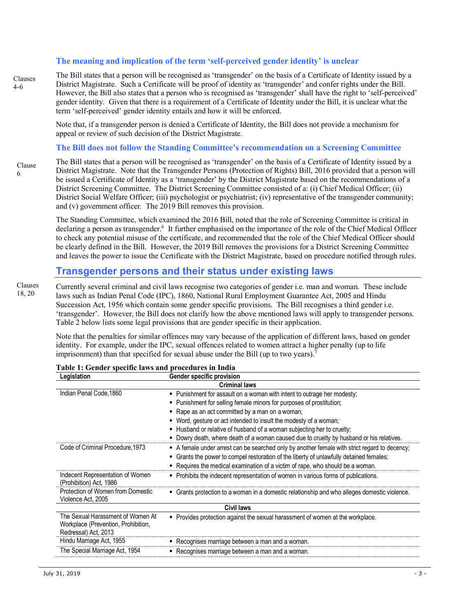#### **The meaning and implication of the term 'self-perceived gender identity' is unclear**

Clauses 4-6

The Bill states that a person will be recognised as 'transgender' on the basis of a Certificate of Identity issued by a District Magistrate. Such a Certificate will be proof of identity as 'transgender' and confer rights under the Bill. However, the Bill also states that a person who is recognised as 'transgender' shall have the right to 'self-perceived' gender identity. Given that there is a requirement of a Certificate of Identity under the Bill, it is unclear what the term 'self-perceived' gender identity entails and how it will be enforced.

Note that, if a transgender person is denied a Certificate of Identity, the Bill does not provide a mechanism for appeal or review of such decision of the District Magistrate.

#### **The Bill does not follow the Standing Committee's recommendation on a Screening Committee**

Clause 6

The Bill states that a person will be recognised as 'transgender' on the basis of a Certificate of Identity issued by a District Magistrate. Note that the Transgender Persons (Protection of Rights) Bill, 2016 provided that a person will be issued a Certificate of Identity as a 'transgender' by the District Magistrate based on the recommendations of a District Screening Committee. The District Screening Committee consisted of a: (i) Chief Medical Officer; (ii) District Social Welfare Officer; (iii) psychologist or psychiatrist; (iv) representative of the transgender community; and (v) government officer. The 2019 Bill removes this provision.

The Standing Committee, which examined the 2016 Bill, noted that the role of Screening Committee is critical in declaring a person as transgender.<sup>6</sup> It further emphasised on the importance of the role of the Chief Medical Officer to check any potential misuse of the certificate, and recommended that the role of the Chief Medical Officer should be clearly defined in the Bill. However, the 2019 Bill removes the provisions for a District Screening Committee and leaves the power to issue the Certificate with the District Magistrate, based on procedure notified through rules.

# **Transgender persons and their status under existing laws**

Currently several criminal and civil laws recognise two categories of gender i.e. man and woman. These include laws such as Indian Penal Code (IPC), 1860, National Rural Employment Guarantee Act, 2005 and Hindu Succession Act, 1956 which contain some gender specific provisions. The Bill recognises a third gender i.e. 'transgender'. However, the Bill does not clarify how the above mentioned laws will apply to transgender persons. Table 2 below lists some legal provisions that are gender specific in their application. Clauses 18, 20

> Note that the penalties for similar offences may vary because of the application of different laws, based on gender identity. For example, under the IPC, sexual offences related to women attract a higher penalty (up to life imprisonment) than that specified for sexual abuse under the Bill (up to two years).<sup>7</sup>

| Legislation                                                                                      | Gender specific provision                                                                    |  |
|--------------------------------------------------------------------------------------------------|----------------------------------------------------------------------------------------------|--|
|                                                                                                  | <b>Criminal laws</b>                                                                         |  |
| Indian Penal Code, 1860                                                                          | • Punishment for assault on a woman with intent to outrage her modesty;                      |  |
|                                                                                                  | • Punishment for selling female minors for purposes of prostitution;                         |  |
|                                                                                                  | • Rape as an act committed by a man on a woman;                                              |  |
|                                                                                                  | Word, gesture or act intended to insult the modesty of a woman;                              |  |
|                                                                                                  | . Husband or relative of husband of a woman subjecting her to cruelty;                       |  |
|                                                                                                  | . Dowry death, where death of a woman caused due to cruelty by husband or his relatives.     |  |
| Code of Criminal Procedure, 1973                                                                 | A female under arrest can be searched only by another female with strict regard to decency;  |  |
|                                                                                                  | Grants the power to compel restoration of the liberty of unlawfully detained females;        |  |
|                                                                                                  | • Requires the medical examination of a victim of rape, who should be a woman.               |  |
| Indecent Representation of Women<br>(Prohibition) Act, 1986                                      | • Prohibits the indecent representation of women in various forms of publications.           |  |
| Protection of Women from Domestic<br>Violence Act, 2005                                          | • Grants protection to a woman in a domestic relationship and who alleges domestic violence. |  |
| <b>Civil laws</b>                                                                                |                                                                                              |  |
| The Sexual Harassment of Women At<br>Workplace (Prevention, Prohibition,<br>Redressal) Act, 2013 | • Provides protection against the sexual harassment of women at the workplace.               |  |
| Hindu Marriage Act, 1955                                                                         | Recognises marriage between a man and a woman.                                               |  |
| The Special Marriage Act, 1954                                                                   | Recognises marriage between a man and a woman.                                               |  |

| Table 1: Gender specific laws and procedures in India |
|-------------------------------------------------------|
|-------------------------------------------------------|